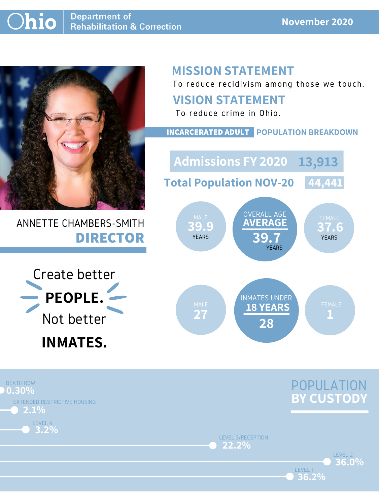

## ANNETTE CHAMBERS-SMITH **DIRECTOR**

## **MISSION STATEMENT**

To reduce recidivism among those we touch.





LEVEL 2

LEVEL 3/RECEPTION **22.2%**

LEVEL 1

**36.2%**

**36.0%**

## **VISION STATEMENT**



To reduce crime in Ohio.

**39.9 37.6 AVERAGE 39.7** OVERALL AGE YEARS YEARS **YEARS** YEARS **YEARS** MALE WERALL AUL VERSION FEMALE **Admissions FY 2020 13,913Total Population NOV-20 44,441**

#### **INCARCERATED ADULT POPULATION BREAKDOWN**

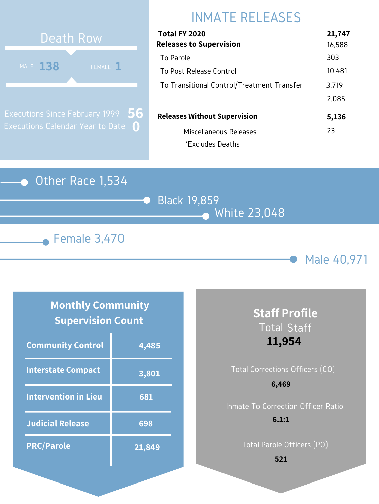### Other Race 1,534







# INMATE RELEASES

| Total FY 2020<br><b>Releases to Supervision</b> | 21,747<br>16,588 |
|-------------------------------------------------|------------------|
| To Parole                                       | 303              |
| To Post Release Control                         | 10,481           |
| To Transitional Control/Treatment Transfer      | 3,719            |
|                                                 | 2,085            |
| <b>Releases Without Supervision</b>             | 5,136            |
| Miscellaneous Releases                          | 23               |
| *Excludes Deaths                                |                  |



Executions Since February 1999 Executions Calendar Year to Date **0 56**

#### **Monthly Community Supervision Count**

| <b>Community Control</b>    | 4,485  |
|-----------------------------|--------|
| <b>Interstate Compact</b>   | 3,801  |
| <b>Intervention in Lieu</b> | 681    |
| <b>Judicial Release</b>     | 698    |
| <b>PRC/Parole</b>           | 21,849 |

## **Staff Profile** Total Staff **11,954**

## Total Corrections Officers (CO) Inmate To Correction Officer Ratio **6,469 6.1:1**

Total Parole Officers (PO)

**521**